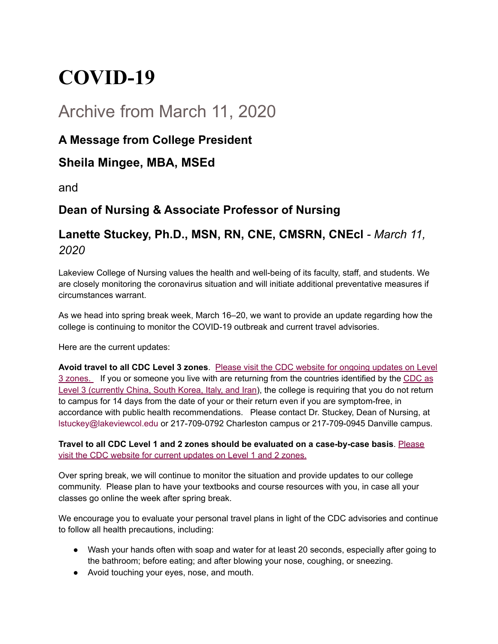# **COVID-19**

# Archive from March 11, 2020

## **A Message from College President**

#### **Sheila Mingee, MBA, MSEd**

and

# **Dean of Nursing & Associate Professor of Nursing**

## **Lanette Stuckey, Ph.D., MSN, RN, CNE, CMSRN, CNEcl** *- March 11, 2020*

Lakeview College of Nursing values the health and well-being of its faculty, staff, and students. We are closely monitoring the coronavirus situation and will initiate additional preventative measures if circumstances warrant.

As we head into spring break week, March 16–20, we want to provide an update regarding how the college is continuing to monitor the COVID-19 outbreak and current travel advisories.

Here are the current updates:

**Avoid travel to all CDC Level 3 zones**. Please visit [the CDC website for ongoing updates on Level](https://www.cdc.gov/coronavirus/2019-ncov/travelers/index.html) [3 zones.](https://www.cdc.gov/coronavirus/2019-ncov/travelers/index.html) If you or someone you live with are returning from the countries identified by the [CDC as](https://wwwnc.cdc.gov/travel/notices#_blank) [Level 3 \(currently China, South Korea, Italy, and Iran\)](https://wwwnc.cdc.gov/travel/notices#_blank), the college is requiring that you do not return to campus for 14 days from the date of your or their return even if you are symptom-free, in accordance with public health recommendations. Please contact Dr. Stuckey, Dean of Nursing, at lstuckey@lakeviewcol.edu or 217-709-0792 Charleston campus or 217-709-0945 Danville campus.

**Travel to all CDC Level 1 and 2 zones should be evaluated on a case-by-case basis**. [Please](https://www.cdc.gov/coronavirus/2019-ncov/travelers/index.html) [visit the CDC website for current updates on Level 1 and 2 zones.](https://www.cdc.gov/coronavirus/2019-ncov/travelers/index.html)

Over spring break, we will continue to monitor the situation and provide updates to our college community. Please plan to have your textbooks and course resources with you, in case all your classes go online the week after spring break.

We encourage you to evaluate your personal travel plans in light of the CDC advisories and continue to follow all health precautions, including:

- Wash your hands often with soap and water for at least 20 seconds, especially after going to the bathroom; before eating; and after blowing your nose, coughing, or sneezing.
- Avoid touching your eyes, nose, and mouth.